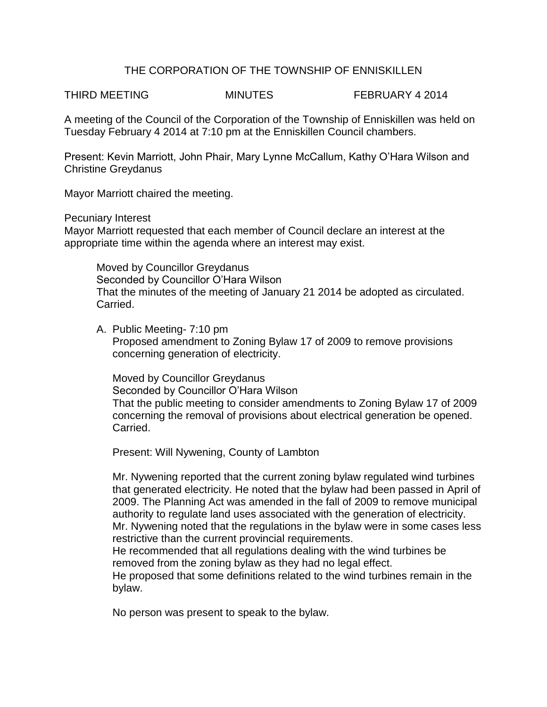## THE CORPORATION OF THE TOWNSHIP OF ENNISKILLEN

THIRD MEETING **MINUTES** FEBRUARY 4 2014

A meeting of the Council of the Corporation of the Township of Enniskillen was held on Tuesday February 4 2014 at 7:10 pm at the Enniskillen Council chambers.

Present: Kevin Marriott, John Phair, Mary Lynne McCallum, Kathy O'Hara Wilson and Christine Greydanus

Mayor Marriott chaired the meeting.

Pecuniary Interest

Mayor Marriott requested that each member of Council declare an interest at the appropriate time within the agenda where an interest may exist.

Moved by Councillor Greydanus Seconded by Councillor O'Hara Wilson That the minutes of the meeting of January 21 2014 be adopted as circulated. Carried.

A. Public Meeting- 7:10 pm Proposed amendment to Zoning Bylaw 17 of 2009 to remove provisions concerning generation of electricity.

Moved by Councillor Greydanus Seconded by Councillor O'Hara Wilson That the public meeting to consider amendments to Zoning Bylaw 17 of 2009 concerning the removal of provisions about electrical generation be opened. Carried.

Present: Will Nywening, County of Lambton

Mr. Nywening reported that the current zoning bylaw regulated wind turbines that generated electricity. He noted that the bylaw had been passed in April of 2009. The Planning Act was amended in the fall of 2009 to remove municipal authority to regulate land uses associated with the generation of electricity. Mr. Nywening noted that the regulations in the bylaw were in some cases less restrictive than the current provincial requirements.

He recommended that all regulations dealing with the wind turbines be removed from the zoning bylaw as they had no legal effect.

He proposed that some definitions related to the wind turbines remain in the bylaw.

No person was present to speak to the bylaw.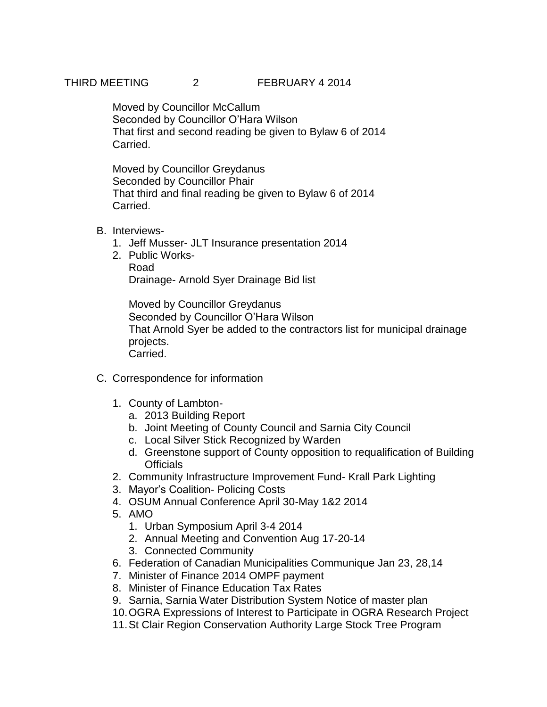# THIRD MEETING 2 FEBRUARY 4 2014

Moved by Councillor McCallum Seconded by Councillor O'Hara Wilson That first and second reading be given to Bylaw 6 of 2014 Carried.

Moved by Councillor Greydanus Seconded by Councillor Phair That third and final reading be given to Bylaw 6 of 2014 Carried.

# B. Interviews-

- 1. Jeff Musser- JLT Insurance presentation 2014
- 2. Public Works-Road Drainage- Arnold Syer Drainage Bid list

Moved by Councillor Greydanus Seconded by Councillor O'Hara Wilson That Arnold Syer be added to the contractors list for municipal drainage projects. Carried.

- C. Correspondence for information
	- 1. County of Lambton
		- a. 2013 Building Report
		- b. Joint Meeting of County Council and Sarnia City Council
		- c. Local Silver Stick Recognized by Warden
		- d. Greenstone support of County opposition to requalification of Building **Officials**
	- 2. Community Infrastructure Improvement Fund- Krall Park Lighting
	- 3. Mayor's Coalition- Policing Costs
	- 4. OSUM Annual Conference April 30-May 1&2 2014
	- 5. AMO
		- 1. Urban Symposium April 3-4 2014
		- 2. Annual Meeting and Convention Aug 17-20-14
		- 3. Connected Community
	- 6. Federation of Canadian Municipalities Communique Jan 23, 28,14
	- 7. Minister of Finance 2014 OMPF payment
	- 8. Minister of Finance Education Tax Rates
	- 9. Sarnia, Sarnia Water Distribution System Notice of master plan
	- 10.OGRA Expressions of Interest to Participate in OGRA Research Project
	- 11.St Clair Region Conservation Authority Large Stock Tree Program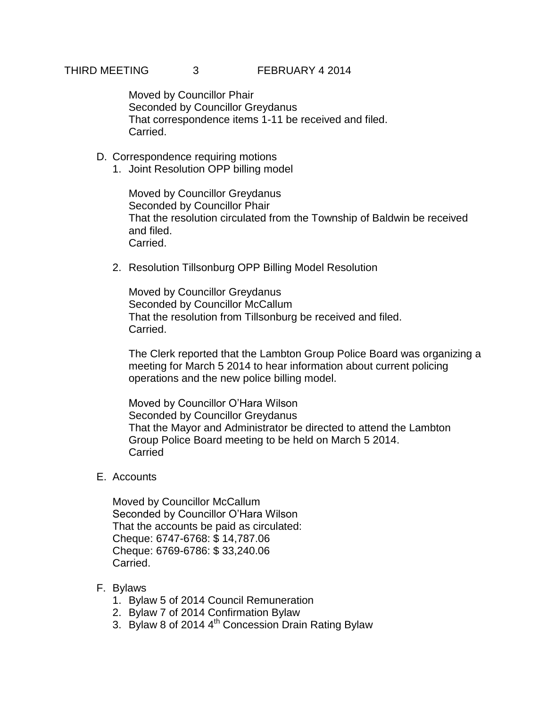### THIRD MEETING 3 FEBRUARY 4 2014

Moved by Councillor Phair Seconded by Councillor Greydanus That correspondence items 1-11 be received and filed. Carried.

- D. Correspondence requiring motions
	- 1. Joint Resolution OPP billing model

Moved by Councillor Greydanus Seconded by Councillor Phair That the resolution circulated from the Township of Baldwin be received and filed. Carried.

2. Resolution Tillsonburg OPP Billing Model Resolution

Moved by Councillor Greydanus Seconded by Councillor McCallum That the resolution from Tillsonburg be received and filed. Carried.

The Clerk reported that the Lambton Group Police Board was organizing a meeting for March 5 2014 to hear information about current policing operations and the new police billing model.

Moved by Councillor O'Hara Wilson Seconded by Councillor Greydanus That the Mayor and Administrator be directed to attend the Lambton Group Police Board meeting to be held on March 5 2014. **Carried** 

E. Accounts

Moved by Councillor McCallum Seconded by Councillor O'Hara Wilson That the accounts be paid as circulated: Cheque: 6747-6768: \$ 14,787.06 Cheque: 6769-6786: \$ 33,240.06 Carried.

- F. Bylaws
	- 1. Bylaw 5 of 2014 Council Remuneration
	- 2. Bylaw 7 of 2014 Confirmation Bylaw
	- 3. Bylaw 8 of 2014 4<sup>th</sup> Concession Drain Rating Bylaw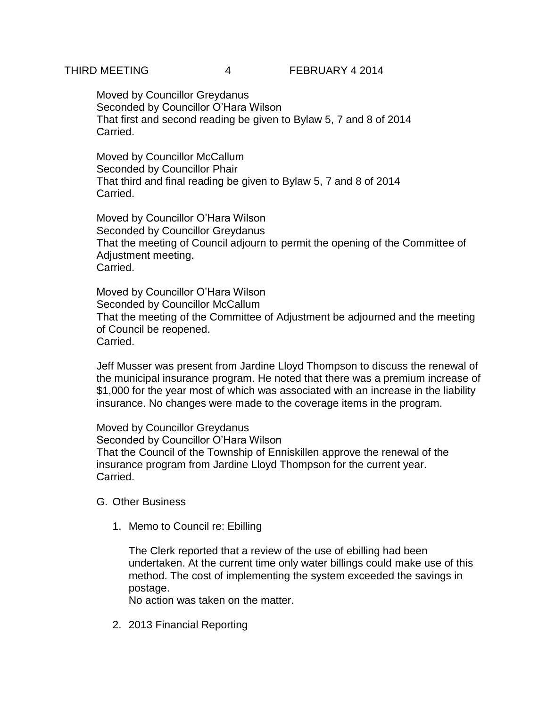Moved by Councillor Greydanus Seconded by Councillor O'Hara Wilson That first and second reading be given to Bylaw 5, 7 and 8 of 2014 Carried.

Moved by Councillor McCallum Seconded by Councillor Phair That third and final reading be given to Bylaw 5, 7 and 8 of 2014 Carried.

Moved by Councillor O'Hara Wilson Seconded by Councillor Greydanus That the meeting of Council adjourn to permit the opening of the Committee of Adjustment meeting. Carried.

Moved by Councillor O'Hara Wilson Seconded by Councillor McCallum That the meeting of the Committee of Adjustment be adjourned and the meeting of Council be reopened. Carried.

Jeff Musser was present from Jardine Lloyd Thompson to discuss the renewal of the municipal insurance program. He noted that there was a premium increase of \$1,000 for the year most of which was associated with an increase in the liability insurance. No changes were made to the coverage items in the program.

Moved by Councillor Greydanus Seconded by Councillor O'Hara Wilson That the Council of the Township of Enniskillen approve the renewal of the insurance program from Jardine Lloyd Thompson for the current year. Carried.

#### G. Other Business

1. Memo to Council re: Ebilling

The Clerk reported that a review of the use of ebilling had been undertaken. At the current time only water billings could make use of this method. The cost of implementing the system exceeded the savings in postage.

No action was taken on the matter.

2. 2013 Financial Reporting